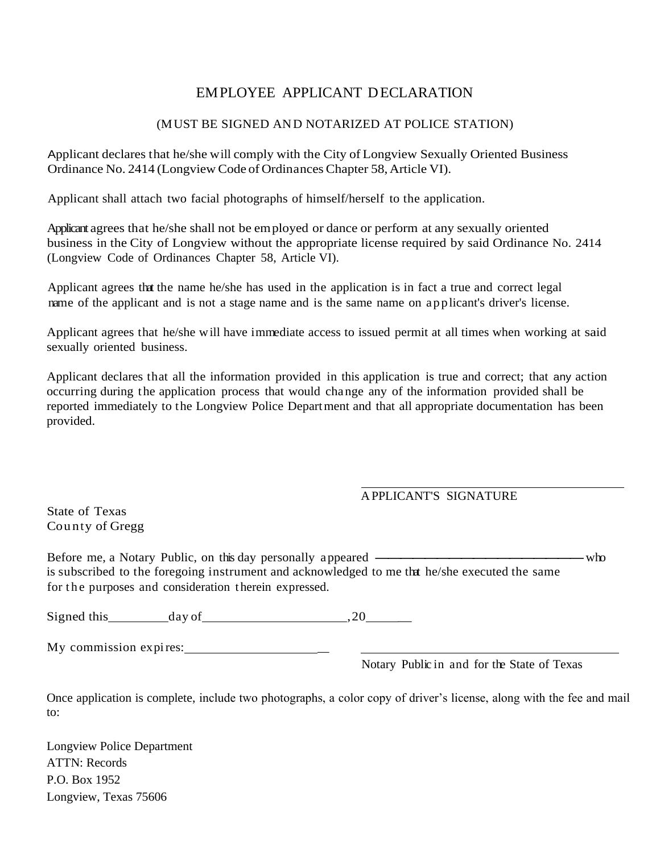## EMPLOYEE APPLICANT DECLARATION

## (MUST BE SIGNED AND NOTARIZED AT POLICE STATION)

Applicant declares that he/she will comply with the City of Longview Sexually Oriented Business Ordinance No. 2414 (Longview Code of Ordinances Chapter 58, Article VI).

Applicant shall attach two facial photographs of himself/herself to the application.

Applicant agrees that he/she shall not be employed or dance or perform at any sexually oriented business in the City of Longview without the appropriate license required by said Ordinance No. 2414 (Longview Code of Ordinances Chapter 58, Article VI).

Applicant agrees that the name he/she has used in the application is in fact a true and correct legal name of the applicant and is not a stage name and is the same name on applicant's driver's license.

Applicant agrees that he/she w ill have immediate access to issued permit at all times when working at said sexually oriented business.

Applicant declares that all the information provided in this application is true and correct; that any action occurring during the application process that would change any of the information provided shall be reported immediately to the Longview Police Department and that all appropriate documentation has been provided.

## APPLICANT'S SIGNATURE

State of Texas Cou nty of Gregg

Before me, <sup>a</sup> Notary Public, on this day personally appeared -----------------who is subscribed to the foregoing instrument and acknowledged to me that he/she executed the same for the purposes and consideration therein expressed.

Signed this day of ,20 \_

My commission expires: \_

Notary Public in and for the State of Texas

Once application is complete, include two photographs, a color copy of driver's license, along with the fee and mail to:

Longview Police Department ATTN: Records P.O. Box 1952 Longview, Texas 75606